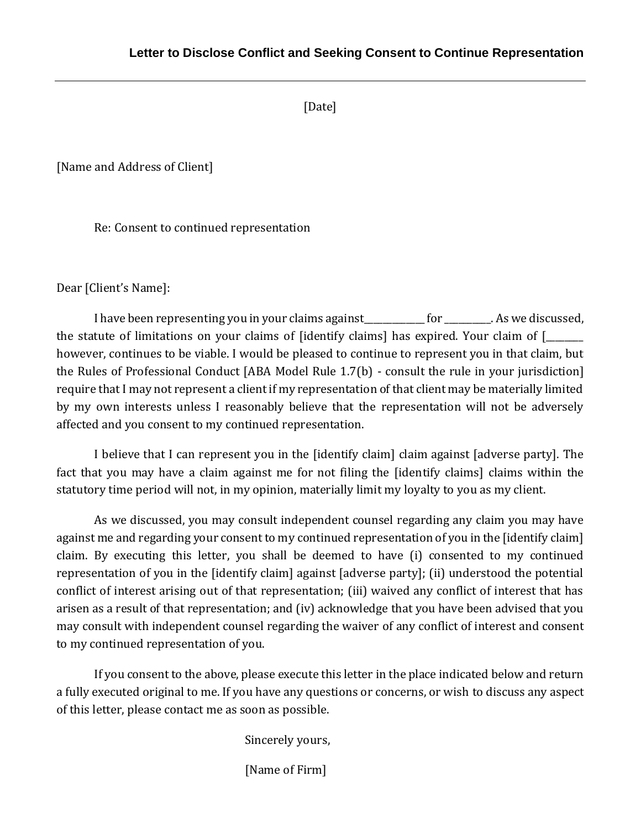[Date]

[Name and Address of Client]

Re: Consent to continued representation

Dear [Client's Name]:

I have been representing you in your claims against for the same of the set of the set of the set of the set o the statute of limitations on your claims of [identify claims] has expired. Your claim of [\_\_\_\_\_\_\_\_ however, continues to be viable. I would be pleased to continue to represent you in that claim, but the Rules of Professional Conduct [ABA Model Rule 1.7(b) - consult the rule in your jurisdiction] require that I may not represent a client if my representation of that client may be materially limited by my own interests unless I reasonably believe that the representation will not be adversely affected and you consent to my continued representation.

I believe that I can represent you in the [identify claim] claim against [adverse party]. The fact that you may have a claim against me for not filing the [identify claims] claims within the statutory time period will not, in my opinion, materially limit my loyalty to you as my client.

As we discussed, you may consult independent counsel regarding any claim you may have against me and regarding your consent to my continued representation of you in the [identify claim] claim. By executing this letter, you shall be deemed to have (i) consented to my continued representation of you in the [identify claim] against [adverse party]; (ii) understood the potential conflict of interest arising out of that representation; (iii) waived any conflict of interest that has arisen as a result of that representation; and (iv) acknowledge that you have been advised that you may consult with independent counsel regarding the waiver of any conflict of interest and consent to my continued representation of you.

If you consent to the above, please execute this letter in the place indicated below and return a fully executed original to me. If you have any questions or concerns, or wish to discuss any aspect of this letter, please contact me as soon as possible.

Sincerely yours,

[Name of Firm]